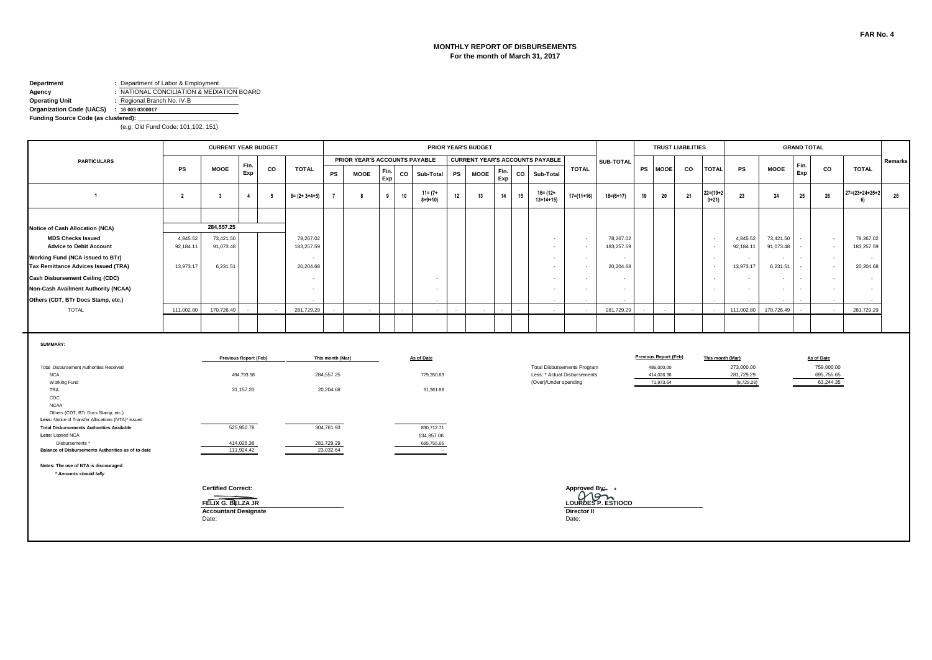## **MONTHLY REPORT OF DISBURSEMENTS For the month of March 31, 2017**

### **Department :** Department of Labor & Employment **Agency :** NATIONAL CONCILIATION & MEDIATION BOARD<br> **Operating Unit** : Regional Branch No. IV-B<br> **Operating Unit** : Regional Branch No. IV-B **Operating Unit :** Regional Branch No. IV-B

**Organization Code (UACS) : 16 003 0300017** Funding Source Code (as clustered):

|                                                                                                                                                                                                                                                                                                                                                                                                          |                                                  | <b>CURRENT YEAR BUDGET</b> |                                                                                                   |        |                                       |                                                                                      | PRIOR YEAR'S BUDGET           |             |        |                                                                                 |    |             |                                        |                    |                                                                                             |                  |                         |    |                                                                | <b>TRUST LIABILITIES</b> |                                                      |                                        |                        | <b>GRAND TOTAL</b> |                                                     |                         |         |
|----------------------------------------------------------------------------------------------------------------------------------------------------------------------------------------------------------------------------------------------------------------------------------------------------------------------------------------------------------------------------------------------------------|--------------------------------------------------|----------------------------|---------------------------------------------------------------------------------------------------|--------|---------------------------------------|--------------------------------------------------------------------------------------|-------------------------------|-------------|--------|---------------------------------------------------------------------------------|----|-------------|----------------------------------------|--------------------|---------------------------------------------------------------------------------------------|------------------|-------------------------|----|----------------------------------------------------------------|--------------------------|------------------------------------------------------|----------------------------------------|------------------------|--------------------|-----------------------------------------------------|-------------------------|---------|
| <b>PARTICULARS</b>                                                                                                                                                                                                                                                                                                                                                                                       |                                                  |                            |                                                                                                   |        |                                       |                                                                                      | PRIOR YEAR'S ACCOUNTS PAYABLE |             |        |                                                                                 |    |             |                                        |                    | <b>CURRENT YEAR'S ACCOUNTS PAYABLE</b>                                                      |                  | SUB-TOTAL               |    |                                                                |                          |                                                      |                                        |                        |                    |                                                     |                         | Remarks |
|                                                                                                                                                                                                                                                                                                                                                                                                          | PS                                               | <b>MOOE</b>                | Fin.<br>Exp                                                                                       | CO     | <b>TOTAL</b>                          | PS                                                                                   | <b>MOOE</b>                   | Fin.<br>Exp | co     | Sub-Total                                                                       | PS | <b>MOOE</b> | Fin.<br>Exp                            | $_{\rm co}$        | Sub-Total                                                                                   | <b>TOTAL</b>     |                         | PS | <b>MOOE</b>                                                    | co                       | <b>TOTAL</b>                                         | PS                                     | <b>MOOE</b>            | Fin.<br>Exp        | co                                                  | <b>TOTAL</b>            |         |
| $\overline{1}$                                                                                                                                                                                                                                                                                                                                                                                           | $\overline{2}$                                   | $\overline{\mathbf{3}}$    | $\overline{4}$                                                                                    | 5      | $6 = (2 + 3 + 4 + 5)$                 | $\overline{7}$                                                                       | 8                             | 9           | 10     | $11 = (7 +$<br>$8 + 9 + 10$                                                     | 12 | 13          | 14                                     | 15                 | $16 = (12 +$<br>$13+14+15$                                                                  | $17=(11+16)$     | $18 = (6 + 17)$         | 19 | 20                                                             | 21                       | $22=(19+2)$<br>$0+21$                                | 23                                     | 24                     | 25                 | 26                                                  | 27=(23+24+25+2<br>6)    | 28      |
|                                                                                                                                                                                                                                                                                                                                                                                                          |                                                  |                            |                                                                                                   |        |                                       |                                                                                      |                               |             |        |                                                                                 |    |             |                                        |                    |                                                                                             |                  |                         |    |                                                                |                          |                                                      |                                        |                        |                    |                                                     |                         |         |
| Notice of Cash Allocation (NCA)                                                                                                                                                                                                                                                                                                                                                                          |                                                  | 284,557.25                 |                                                                                                   |        |                                       |                                                                                      |                               |             |        |                                                                                 |    |             |                                        |                    |                                                                                             |                  |                         |    |                                                                |                          |                                                      |                                        |                        |                    |                                                     |                         |         |
| <b>MDS Checks Issued</b><br><b>Advice to Debit Account</b>                                                                                                                                                                                                                                                                                                                                               | 4,845.52<br>92,184.11                            | 73,421.50<br>91,073.48     |                                                                                                   |        | 78,267.02<br>183,257.59               |                                                                                      |                               |             |        |                                                                                 |    |             |                                        |                    | $\overline{\phantom{a}}$<br>٠                                                               | $\sim$<br>$\sim$ | 78,267.02<br>183,257.59 |    |                                                                |                          | $\overline{\phantom{a}}$<br>$\overline{\phantom{a}}$ | 4,845.52<br>92,184.11                  | 73,421.50<br>91,073.48 |                    | $\sim$<br>$\sim$                                    | 78,267.02<br>183,257.59 |         |
| Working Fund (NCA issued to BTr)<br><b>Tax Remittance Advices Issued (TRA)</b>                                                                                                                                                                                                                                                                                                                           | 13,973.17                                        | 6,231.51                   |                                                                                                   |        | $\overline{\phantom{a}}$<br>20,204.68 |                                                                                      |                               |             |        |                                                                                 |    |             |                                        |                    | $\sim$<br>٠                                                                                 | $\sim$<br>$\sim$ | 20,204.68               |    |                                                                |                          | $\overline{\phantom{a}}$<br>$\sim$                   | $\sim$<br>13,973.17                    | $\sim$<br>6,231.51     |                    | $\sim$<br>$\sim$                                    | 20,204.68               |         |
| <b>Cash Disbursement Ceiling (CDC)</b>                                                                                                                                                                                                                                                                                                                                                                   |                                                  |                            |                                                                                                   |        | $\overline{\phantom{a}}$              |                                                                                      |                               |             |        | ٠                                                                               |    |             |                                        |                    |                                                                                             |                  |                         |    |                                                                |                          | $\sim$                                               | ٠                                      | $\sim$                 |                    | $\sim$                                              |                         |         |
| <b>Non-Cash Availment Authority (NCAA)</b>                                                                                                                                                                                                                                                                                                                                                               |                                                  |                            |                                                                                                   |        | $\overline{\phantom{a}}$              |                                                                                      |                               |             |        | $\overline{\phantom{a}}$                                                        |    |             |                                        |                    |                                                                                             |                  |                         |    |                                                                |                          | $\overline{\phantom{a}}$                             | $\overline{\phantom{a}}$               |                        |                    |                                                     |                         |         |
| Others (CDT, BTr Docs Stamp, etc.)                                                                                                                                                                                                                                                                                                                                                                       |                                                  |                            |                                                                                                   |        |                                       |                                                                                      |                               |             |        |                                                                                 |    |             |                                        |                    |                                                                                             |                  |                         |    |                                                                |                          |                                                      |                                        |                        |                    |                                                     |                         |         |
| <b>TOTAL</b>                                                                                                                                                                                                                                                                                                                                                                                             | 111,002.80                                       | 170,726.49                 | $\sim$                                                                                            | $\sim$ | 281,729.29                            |                                                                                      | $\sim$                        |             | $\sim$ | $\sim$                                                                          |    | - 20        |                                        |                    | in 1919.                                                                                    | $\sim$           | 281,729.29              |    | $\sim$                                                         | $\sim$                   | $\sim$                                               | 111,002.80                             | 170,726.49             |                    | $\sim$                                              | 281,729.29              |         |
|                                                                                                                                                                                                                                                                                                                                                                                                          |                                                  |                            |                                                                                                   |        |                                       |                                                                                      |                               |             |        |                                                                                 |    |             |                                        |                    |                                                                                             |                  |                         |    |                                                                |                          |                                                      |                                        |                        |                    |                                                     |                         |         |
| SUMMARY:<br>Total Disbursement Authorities Received<br><b>NCA</b><br>Working Fund<br>TRA<br>CDC<br><b>NCAA</b><br>Others (CDT, BTr Docs Stamp, etc.)<br>Less: Notice of Transfer Allocations (NTA)* issued<br><b>Total Disbursements Authorities Available</b><br>Less: Lapsed NCA<br><b>Disbursements</b><br>Balance of Disbursements Authorities as of to date<br>Notes: The use of NTA is discouraged |                                                  |                            | <b>Previous Report (Feb)</b><br>494,793.58<br>31,157.20<br>525,950.78<br>414,026.36<br>111,924.42 |        |                                       | This month (Mar)<br>284,557.25<br>20,204.68<br>304,761.93<br>281,729.29<br>23,032.64 |                               |             |        | As of Date<br>779,350.83<br>51,361.88<br>830.712.71<br>134,957.06<br>695,755.65 |    |             |                                        |                    | <b>Total Disbursements Program</b><br>Less: * Actual Disbursements<br>(Over)/Under spending |                  |                         |    | Previous Report (Feb)<br>486,000.00<br>414,026.36<br>71,973.64 |                          | This month (Mar)                                     | 273,000.00<br>281,729.29<br>(8,729.29) |                        |                    | As of Date<br>759,000.00<br>695,755.65<br>63,244.35 |                         |         |
| * Amounts should tally                                                                                                                                                                                                                                                                                                                                                                                   | FELIX G. BELZA JR<br><b>Accountant Designate</b> |                            |                                                                                                   |        |                                       |                                                                                      |                               |             |        |                                                                                 |    |             | Approved By: .<br>Director II<br>Date: | LOURDES P. ESTIOCO |                                                                                             |                  |                         |    |                                                                |                          |                                                      |                                        |                        |                    |                                                     |                         |         |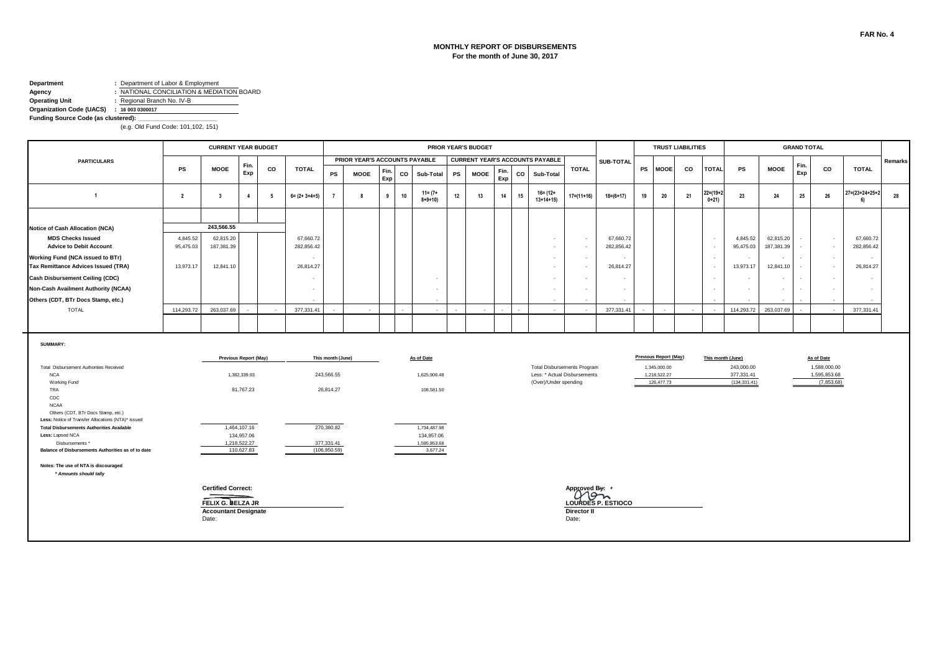## **MONTHLY REPORT OF DISBURSEMENTS For the month of June 30, 2017**

### **Department :** Department of Labor & Employment **Agency :** NATIONAL CONCILIATION & MEDIATION BOARD<br> **Operating Unit** : Regional Branch No. IV-B<br> **Operating Unit** : Regional Branch No. IV-B **Operating Unit :** Regional Branch No. IV-B

**Organization Code (UACS) : 16 003 0300017** Funding Source Code (as clustered):

|                                                                                                                                                                                                                                                                                                                                                             |                                                                                        | <b>CURRENT YEAR BUDGET</b> |                                                                                                                |        |                                       | <b>PRIOR YEAR'S BUDGET</b>                                                                |                               |             |    |                                                                                                    |    |             |             |    |                                                                                             |                                      |                         |    |                                                                     | <b>TRUST LIABILITIES</b> |                                                      |                                                                |                         | <b>GRAND TOTAL</b> |                                                          |                         |         |
|-------------------------------------------------------------------------------------------------------------------------------------------------------------------------------------------------------------------------------------------------------------------------------------------------------------------------------------------------------------|----------------------------------------------------------------------------------------|----------------------------|----------------------------------------------------------------------------------------------------------------|--------|---------------------------------------|-------------------------------------------------------------------------------------------|-------------------------------|-------------|----|----------------------------------------------------------------------------------------------------|----|-------------|-------------|----|---------------------------------------------------------------------------------------------|--------------------------------------|-------------------------|----|---------------------------------------------------------------------|--------------------------|------------------------------------------------------|----------------------------------------------------------------|-------------------------|--------------------|----------------------------------------------------------|-------------------------|---------|
| <b>PARTICULARS</b>                                                                                                                                                                                                                                                                                                                                          |                                                                                        |                            |                                                                                                                |        |                                       |                                                                                           | PRIOR YEAR'S ACCOUNTS PAYABLE |             |    |                                                                                                    |    |             |             |    | <b>CURRENT YEAR'S ACCOUNTS PAYABLE</b>                                                      |                                      | SUB-TOTAL               |    |                                                                     |                          |                                                      |                                                                |                         |                    |                                                          |                         | Remarks |
|                                                                                                                                                                                                                                                                                                                                                             | PS                                                                                     | <b>MOOE</b>                | Fin.<br>Exp                                                                                                    | co     | <b>TOTAL</b>                          | PS                                                                                        | <b>MOOE</b>                   | Fin.<br>Exp | co | Sub-Total                                                                                          | PS | <b>MOOE</b> | Fin.<br>Exp | co | Sub-Total                                                                                   | <b>TOTAL</b>                         |                         | PS | <b>MOOE</b>                                                         | co                       | <b>TOTAL</b>                                         | PS                                                             | <b>MOOE</b>             | Fin.<br>Exp        | co                                                       | <b>TOTAL</b>            |         |
| $\overline{1}$                                                                                                                                                                                                                                                                                                                                              | $\overline{2}$                                                                         | $\mathbf{3}$               | $\overline{4}$                                                                                                 | 5      | $6 = (2 + 3 + 4 + 5)$                 | $\overline{7}$                                                                            | 8                             | 9           | 10 | $11 = (7 +$<br>$8 + 9 + 10$                                                                        | 12 | 13          | 14          | 15 | $16 = (12 +$<br>$13+14+15$                                                                  | $17 = (11 + 16)$                     | $18 = (6 + 17)$         | 19 | 20                                                                  | 21                       | $22=(19+)$<br>$0+21)$                                | 23                                                             | 24                      | 25                 | 26                                                       | 27=(23+24+25+2<br>6)    | 28      |
|                                                                                                                                                                                                                                                                                                                                                             |                                                                                        |                            |                                                                                                                |        |                                       |                                                                                           |                               |             |    |                                                                                                    |    |             |             |    |                                                                                             |                                      |                         |    |                                                                     |                          |                                                      |                                                                |                         |                    |                                                          |                         |         |
| <b>Notice of Cash Allocation (NCA)</b>                                                                                                                                                                                                                                                                                                                      |                                                                                        | 243,566.55                 |                                                                                                                |        |                                       |                                                                                           |                               |             |    |                                                                                                    |    |             |             |    |                                                                                             |                                      |                         |    |                                                                     |                          |                                                      |                                                                |                         |                    |                                                          |                         |         |
| <b>MDS Checks Issued</b><br><b>Advice to Debit Account</b>                                                                                                                                                                                                                                                                                                  | 4,845.52<br>95,475.03                                                                  | 62,815.20<br>187,381.39    |                                                                                                                |        | 67,660.72<br>282,856.42               |                                                                                           |                               |             |    |                                                                                                    |    |             |             |    | $\sim$<br>٠                                                                                 | $\sim$<br>$\sim$                     | 67,660.72<br>282,856.42 |    |                                                                     |                          | $\overline{\phantom{a}}$<br>$\overline{\phantom{a}}$ | 4,845.52<br>95,475.03                                          | 62,815.20<br>187,381.39 |                    | $\sim$<br>$\sim$                                         | 67,660.72<br>282,856.42 |         |
| Working Fund (NCA issued to BTr)                                                                                                                                                                                                                                                                                                                            |                                                                                        |                            |                                                                                                                |        |                                       |                                                                                           |                               |             |    |                                                                                                    |    |             |             |    | $\sim$                                                                                      | $\sim$                               |                         |    |                                                                     |                          | $\overline{\phantom{a}}$                             | $\sim$                                                         |                         |                    |                                                          |                         |         |
| <b>Tax Remittance Advices Issued (TRA)</b>                                                                                                                                                                                                                                                                                                                  | 13,973.17                                                                              | 12,841.10                  |                                                                                                                |        | $\overline{\phantom{a}}$<br>26,814.27 |                                                                                           |                               |             |    |                                                                                                    |    |             |             |    | $\sim$                                                                                      | $\sim$                               | 26,814.27               |    |                                                                     |                          | $\overline{\phantom{a}}$                             | 13,973.17                                                      | $\sim$<br>12,841.10     |                    | $\sim$<br>$\sim$                                         | 26,814.27               |         |
| <b>Cash Disbursement Ceiling (CDC)</b>                                                                                                                                                                                                                                                                                                                      |                                                                                        |                            |                                                                                                                |        | $\sim$                                |                                                                                           |                               |             |    |                                                                                                    |    |             |             |    | $\sim$                                                                                      |                                      |                         |    |                                                                     |                          | $\sim$                                               | $\sim$                                                         | $\sim$                  | $\sim$             | $\sim$                                                   |                         |         |
| Non-Cash Availment Authority (NCAA)                                                                                                                                                                                                                                                                                                                         |                                                                                        |                            |                                                                                                                |        | $\overline{\phantom{a}}$              |                                                                                           |                               |             |    | $\overline{\phantom{a}}$                                                                           |    |             |             |    | $\sim$                                                                                      |                                      | $\sim$                  |    |                                                                     |                          |                                                      | $\sim$                                                         |                         |                    |                                                          |                         |         |
| Others (CDT, BTr Docs Stamp, etc.)                                                                                                                                                                                                                                                                                                                          |                                                                                        |                            |                                                                                                                |        |                                       |                                                                                           |                               |             |    |                                                                                                    |    |             |             |    |                                                                                             |                                      |                         |    |                                                                     |                          |                                                      |                                                                |                         |                    |                                                          |                         |         |
| <b>TOTAL</b>                                                                                                                                                                                                                                                                                                                                                | 114,293.72                                                                             | 263,037.69                 |                                                                                                                | $\sim$ | 377.331.41                            | $\sim$                                                                                    | $\sim$                        |             |    | $\sim$                                                                                             |    |             |             |    | $\sim$                                                                                      | $\sim$                               | 377.331.41              |    | $\sim$                                                              |                          | $\sim$                                               | 114,293.72                                                     | 263,037.69              |                    | $\sim$                                                   | 377,331.41              |         |
|                                                                                                                                                                                                                                                                                                                                                             |                                                                                        |                            |                                                                                                                |        |                                       |                                                                                           |                               |             |    |                                                                                                    |    |             |             |    |                                                                                             |                                      |                         |    |                                                                     |                          |                                                      |                                                                |                         |                    |                                                          |                         |         |
| SUMMARY:<br>Total Disbursement Authorities Received<br><b>NCA</b><br>Working Fund<br>TRA<br>CDC<br><b>NCAA</b><br>Others (CDT, BTr Docs Stamp, etc.)<br>Less: Notice of Transfer Allocations (NTA)* issued<br><b>Total Disbursements Authorities Available</b><br>Less: Lapsed NCA<br>Disbursements '<br>Balance of Disbursements Authorities as of to date |                                                                                        |                            | Previous Report (May)<br>1,382,339.93<br>81,767.23<br>1,464,107.16<br>134,957.06<br>1,218,522.27<br>110,627.83 |        |                                       | This month (June)<br>243,566.55<br>26,814.27<br>270,380.82<br>377,331.41<br>(106, 950.59) |                               |             |    | As of Date<br>1,625,906.48<br>108,581.50<br>1,734,487.98<br>134,957.06<br>1,595,853.68<br>3,677.24 |    |             |             |    | <b>Total Disbursements Program</b><br>Less: * Actual Disbursements<br>(Over)/Under spending |                                      |                         |    | Previous Report (May)<br>1,345,000.00<br>1,218,522.27<br>126,477.73 |                          |                                                      | This month (June)<br>243,000.00<br>377,331.41<br>(134, 331.41) |                         |                    | As of Date<br>1,588,000.00<br>1,595,853.68<br>(7,853.68) |                         |         |
| Notes: The use of NTA is discouraged<br>* Amounts should tally                                                                                                                                                                                                                                                                                              | <b>Certified Correct:</b><br>FELIX G. BELZA JR<br><b>Accountant Designate</b><br>Date: |                            |                                                                                                                |        |                                       |                                                                                           |                               |             |    |                                                                                                    |    |             |             |    |                                                                                             | Approved By:<br>Director II<br>Date: | LOURDES P. ESTIOCO      |    |                                                                     |                          |                                                      |                                                                |                         |                    |                                                          |                         |         |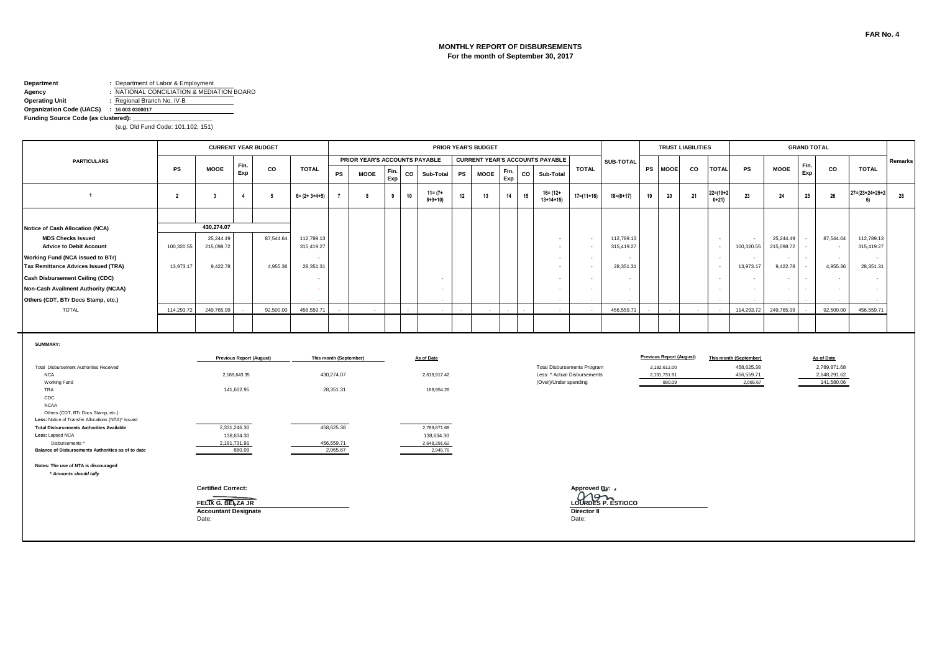## **Department :** Department of Labor & Employment

**Agency :** NATIONAL CONCILIATION & MEDIATION BOARD

**Operating Unit :** Regional Branch No. IV-B

**Organization Code (UACS) : 16 003 0300017**

Funding Source Code (as clustered):

|                                                                                                        |                | <b>CURRENT YEAR BUDGET</b>                     |                        |                                 |                          |                        | PRIOR YEAR'S BUDGET           |             |             |                             |                                     |    |             |             |                |                                                       |                                    |                                       |           |                                                 | <b>TRUST LIABILITIES</b> |                           |                                      |                         | <b>GRAND TOTAL</b> |                            |                          |         |
|--------------------------------------------------------------------------------------------------------|----------------|------------------------------------------------|------------------------|---------------------------------|--------------------------|------------------------|-------------------------------|-------------|-------------|-----------------------------|-------------------------------------|----|-------------|-------------|----------------|-------------------------------------------------------|------------------------------------|---------------------------------------|-----------|-------------------------------------------------|--------------------------|---------------------------|--------------------------------------|-------------------------|--------------------|----------------------------|--------------------------|---------|
| <b>PARTICULARS</b>                                                                                     |                |                                                | Fin.                   |                                 |                          |                        | PRIOR YEAR'S ACCOUNTS PAYABLE |             |             |                             |                                     |    |             |             |                | <b>CURRENT YEAR'S ACCOUNTS PAYABLE</b>                |                                    | SUB-TOTAL                             |           |                                                 |                          |                           |                                      |                         | Fin.               |                            |                          | Remarks |
|                                                                                                        | PS             | <b>MOOE</b>                                    | Exp                    | co                              | <b>TOTAL</b>             | PS                     | <b>MOOE</b>                   | Fin.<br>Exp | $_{\rm co}$ | Sub-Total                   |                                     | PS | <b>MOOE</b> | Fin.<br>Exp | $_{\rm co}$    | Sub-Total                                             | <b>TOTAL</b>                       |                                       | <b>PS</b> | <b>MOOE</b>                                     | CO                       | <b>TOTAL</b>              | PS                                   | <b>MOOE</b>             | Exp                | CO                         | <b>TOTAL</b>             |         |
| $\overline{1}$                                                                                         | $\overline{2}$ | $\overline{\mathbf{3}}$                        | $\Delta$               | 5                               | $6 = (2 + 3 + 4 + 5)$    | $\overline{7}$         | 8                             | 9           | 10          | $11 = (7 +$<br>$8 + 9 + 10$ |                                     | 12 | 13          | 14          | 15             | 16= (12+<br>$13+14+15$                                | $17 = (11 + 16)$                   | $18 = (6 + 17)$                       | 19        | 20                                              | 21                       | $22 = (19 + 2)$<br>$0+21$ | 23                                   | 24                      | 25                 | 26                         | 27=(23+24+25+2<br>-61    | 28      |
|                                                                                                        |                |                                                |                        |                                 |                          |                        |                               |             |             |                             |                                     |    |             |             |                |                                                       |                                    |                                       |           |                                                 |                          |                           |                                      |                         |                    |                            |                          |         |
| <b>Notice of Cash Allocation (NCA)</b>                                                                 |                | 430.274.07                                     |                        |                                 |                          |                        |                               |             |             |                             |                                     |    |             |             |                |                                                       |                                    |                                       |           |                                                 |                          |                           |                                      |                         |                    |                            |                          |         |
| <b>MDS Checks Issued</b><br><b>Advice to Debit Account</b>                                             | 100,320.55     | 25,244.49<br>215,098.72                        |                        | 87.544.64                       | 112,789.13<br>315,419.27 |                        |                               |             |             |                             |                                     |    |             |             |                | $\sim$<br>$\overline{\phantom{a}}$                    | $\sim$<br>$\sim$                   | 112,789.13<br>315,419.27              |           |                                                 |                          | $\sim$<br>$\sim$          | 100,320.55                           | 25,244.49<br>215,098.72 |                    | 87,544.64<br>$\sim$        | 112,789.13<br>315,419.27 |         |
| Working Fund (NCA issued to BTr)<br><b>Tax Remittance Advices Issued (TRA)</b>                         | 13,973.17      | 9,422.78                                       |                        | 4.955.36                        | $\sim$<br>28,351.31      |                        |                               |             |             |                             |                                     |    |             |             |                | $\sim$<br>$\sim$                                      | $\sim$<br>$\overline{\phantom{a}}$ | $\overline{\phantom{a}}$<br>28,351.31 |           |                                                 |                          | $\sim$<br>$\sim$          | $\sim$<br>13,973.17                  | $\sim$<br>9,422.78      | $\blacksquare$     | $\sim$<br>4,955.36         | $\sim$<br>28,351.31      |         |
| <b>Cash Disbursement Ceiling (CDC)</b>                                                                 |                |                                                |                        |                                 |                          |                        |                               |             |             |                             | $\sim$                              |    |             |             |                | $\sim$                                                |                                    | $\sim$                                |           |                                                 |                          | $\sim$                    | $\sim$                               | $\sim$                  |                    | $\sim$                     | ٠                        |         |
| Non-Cash Availment Authority (NCAA)                                                                    |                |                                                |                        |                                 |                          |                        |                               |             |             |                             |                                     |    |             |             |                |                                                       |                                    |                                       |           |                                                 |                          | $\sim$                    |                                      | <b>.</b>                |                    | $\sim$                     |                          |         |
| Others (CDT, BTr Docs Stamp, etc.)                                                                     |                |                                                |                        |                                 |                          |                        |                               |             |             |                             |                                     |    |             |             |                |                                                       |                                    |                                       |           |                                                 |                          |                           |                                      |                         |                    |                            |                          |         |
| <b>TOTAL</b>                                                                                           | 114,293.72     | 249,765.99                                     |                        | 92,500.00                       | 456,559.71               |                        | $\sim$                        |             |             |                             |                                     |    |             |             | $\overline{a}$ | $\overline{\phantom{a}}$                              |                                    | 456,559.71                            |           |                                                 |                          |                           | 114,293.72                           | 249,765.99              |                    | 92,500.00                  | 456,559.71               |         |
|                                                                                                        |                |                                                |                        |                                 |                          |                        |                               |             |             |                             |                                     |    |             |             |                |                                                       |                                    |                                       |           |                                                 |                          |                           |                                      |                         |                    |                            |                          |         |
| <b>SUMMARY:</b>                                                                                        |                |                                                |                        |                                 |                          |                        |                               |             |             |                             |                                     |    |             |             |                |                                                       |                                    |                                       |           |                                                 |                          |                           |                                      |                         |                    |                            |                          |         |
| Total Disbursement Authorities Received                                                                |                |                                                |                        | <b>Previous Report (August)</b> |                          | This month (September) |                               |             |             | As of Date                  |                                     |    |             |             |                | <b>Total Disbursements Program</b>                    |                                    |                                       |           | <b>Previous Report (August)</b><br>2,192,612.00 |                          |                           | This month (September)<br>458,625.38 |                         |                    | As of Date<br>2,789,871.68 |                          |         |
| <b>NCA</b><br>Working Fund                                                                             |                |                                                | 2,189,643.35           |                                 |                          | 430,274.07             |                               |             |             | 2,619,917.42                |                                     |    |             |             |                | Less: * Actual Disbursements<br>(Over)/Under spending |                                    |                                       |           | 2,191,731.91<br>880.09                          |                          |                           | 456,559.71<br>2,065.67               |                         |                    | 2,648,291.62<br>141,580.06 |                          |         |
| TRA<br>CDC<br><b>NCAA</b><br>Others (CDT, BTr Docs Stamp, etc.)                                        |                |                                                | 141,602.95             |                                 |                          | 28,351.31              |                               |             |             | 169,954.26                  |                                     |    |             |             |                |                                                       |                                    |                                       |           |                                                 |                          |                           |                                      |                         |                    |                            |                          |         |
| Less: Notice of Transfer Allocations (NTA)* issued<br><b>Total Disbursements Authorities Available</b> |                |                                                | 2,331,246.30           |                                 |                          | 458,625.38             |                               |             |             | 2,789,871.68                |                                     |    |             |             |                |                                                       |                                    |                                       |           |                                                 |                          |                           |                                      |                         |                    |                            |                          |         |
| Less: Lapsed NCA                                                                                       |                |                                                | 138,634.30             |                                 |                          |                        |                               |             |             | 138,634.30                  |                                     |    |             |             |                |                                                       |                                    |                                       |           |                                                 |                          |                           |                                      |                         |                    |                            |                          |         |
| Disbursements *<br>Balance of Disbursements Authorities as of to date                                  |                |                                                | 2,191,731.91<br>880.09 |                                 |                          | 456,559.71<br>2,065.67 |                               |             |             | 2,648,291.62                | 2,945.76                            |    |             |             |                |                                                       |                                    |                                       |           |                                                 |                          |                           |                                      |                         |                    |                            |                          |         |
| Notes: The use of NTA is discouraged<br>* Amounts should tally                                         |                |                                                |                        |                                 |                          |                        |                               |             |             |                             |                                     |    |             |             |                |                                                       |                                    |                                       |           |                                                 |                          |                           |                                      |                         |                    |                            |                          |         |
|                                                                                                        |                | <b>Certified Correct:</b><br>FELIX G. BELZA JR |                        |                                 |                          |                        |                               |             |             |                             | Approved By: ,<br>LOURDES P ESTIOCO |    |             |             |                |                                                       |                                    |                                       |           |                                                 |                          |                           |                                      |                         |                    |                            |                          |         |
|                                                                                                        |                | <b>Accountant Designate</b><br>Date:           |                        |                                 |                          |                        |                               |             |             |                             |                                     |    |             |             |                |                                                       | Director II<br>Date:               |                                       |           |                                                 |                          |                           |                                      |                         |                    |                            |                          |         |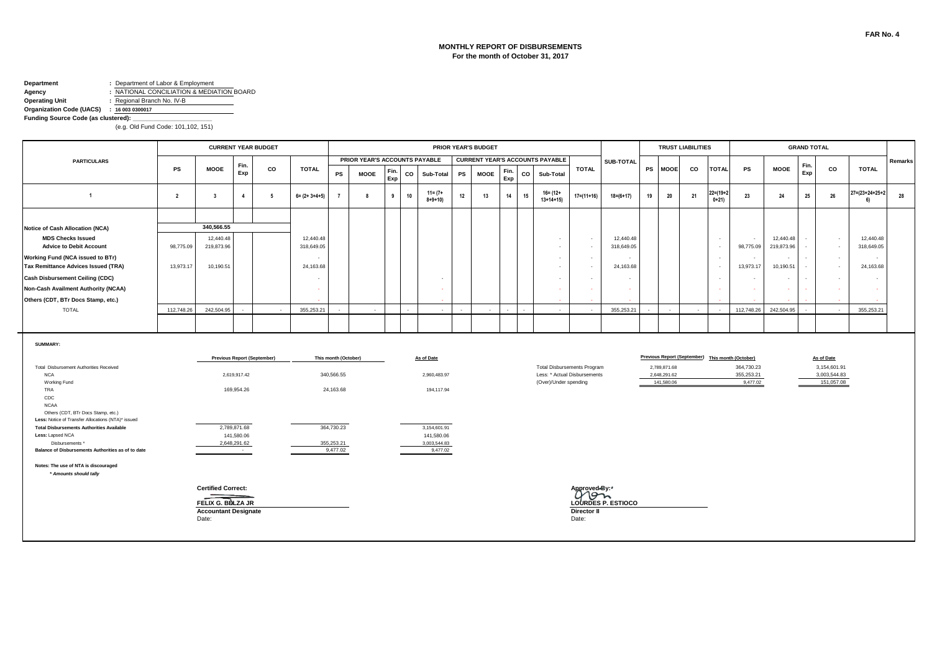# **Department :** Department of Labor & Employment

**Agency :** NATIONAL CONCILIATION & MEDIATION BOARD

**Operating Unit :** Regional Branch No. IV-B

**Organization Code (UACS) : 16 003 0300017**

Funding Source Code (as clustered):

| <b>PARTICULARS</b>                                                                                             |                                                                                        | <b>CURRENT YEAR BUDGET</b>            |                                            |                                    |                         |                                    |                               |             |    |                                            |           | PRIOR YEAR'S BUDGET |             |    |                                                                    |                                      |                          |           |                              | <b>TRUST LIABILITIES</b>                         |                           |                          |                                       | <b>GRAND TOTAL</b> |                                            |                         |         |
|----------------------------------------------------------------------------------------------------------------|----------------------------------------------------------------------------------------|---------------------------------------|--------------------------------------------|------------------------------------|-------------------------|------------------------------------|-------------------------------|-------------|----|--------------------------------------------|-----------|---------------------|-------------|----|--------------------------------------------------------------------|--------------------------------------|--------------------------|-----------|------------------------------|--------------------------------------------------|---------------------------|--------------------------|---------------------------------------|--------------------|--------------------------------------------|-------------------------|---------|
| $\overline{1}$                                                                                                 |                                                                                        |                                       |                                            |                                    |                         |                                    | PRIOR YEAR'S ACCOUNTS PAYABLE |             |    |                                            |           |                     |             |    | <b>CURRENT YEAR'S ACCOUNTS PAYABLE</b>                             |                                      | <b>SUB-TOTAL</b>         |           |                              |                                                  |                           |                          |                                       |                    |                                            |                         | Remarks |
|                                                                                                                | PS                                                                                     | <b>MOOE</b>                           | Fin.<br>Exp                                | CO                                 | <b>TOTAL</b>            | PS                                 | <b>MOOE</b>                   | Fin.<br>Exp | CO | Sub-Total                                  | <b>PS</b> | <b>MOOE</b>         | Fin.<br>Exp | co | Sub-Total                                                          | <b>TOTAL</b>                         |                          | <b>PS</b> | <b>MOOE</b>                  | co                                               | <b>TOTAL</b>              | PS                       | <b>MOOE</b>                           | Fin.<br>Exp        | co                                         | <b>TOTAL</b>            |         |
|                                                                                                                | $\overline{2}$                                                                         | $\overline{\mathbf{3}}$               | $\overline{4}$                             | 5                                  | $6 = (2 + 3 + 4 + 5)$   |                                    | 8                             | 9           | 10 | 11= (7+<br>$8 + 9 + 10$                    | 12        | 13                  | 14          | 15 | $16 = (12 +$<br>$13+14+15$                                         | $17 = (11 + 16)$                     | $18=(6+17)$              | 19        | 20                           | 21                                               | $22 = (19 + 2)$<br>$0+21$ | 23                       | 24                                    | 25                 | 26                                         | 27=(23+24+25+2<br>6)    | 28      |
|                                                                                                                |                                                                                        |                                       |                                            |                                    |                         |                                    |                               |             |    |                                            |           |                     |             |    |                                                                    |                                      |                          |           |                              |                                                  |                           |                          |                                       |                    |                                            |                         |         |
| <b>Notice of Cash Allocation (NCA)</b><br><b>MDS Checks Issued</b><br><b>Advice to Debit Account</b>           | 98,775.09                                                                              | 340.566.55<br>12,440.48<br>219,873.96 |                                            |                                    | 12,440.48<br>318,649.05 |                                    |                               |             |    |                                            |           |                     |             |    | $\sim$<br>$\omega$                                                 | $\sim$<br>$\sim$                     | 12,440.48<br>318,649.05  |           |                              |                                                  | $\sim$<br>$\sim$          | 98,775.09                | 12,440.48<br>219,873.96               | $\sim$             | $\sim$<br>$\sim$                           | 12,440.48<br>318,649.05 |         |
| Working Fund (NCA issued to BTr)<br><b>Tax Remittance Advices Issued (TRA)</b>                                 | 13,973.17                                                                              | 10,190.51                             |                                            |                                    | $\sim$<br>24,163.68     |                                    |                               |             |    |                                            |           |                     |             |    | $\sim$<br>$\sim$                                                   |                                      | $\sim$<br>24,163.68      |           |                              |                                                  | $\sim$<br>$\sim$          | $\sim$<br>13,973.17      | $\overline{\phantom{a}}$<br>10,190.51 | $\sim$             | $\sim$<br>$\sim$                           | $\sim$<br>24,163.68     |         |
| <b>Cash Disbursement Ceiling (CDC)</b><br>Non-Cash Availment Authority (NCAA)                                  |                                                                                        |                                       |                                            |                                    | $\sim$                  |                                    |                               |             |    | $\sim$                                     |           |                     |             |    | $\sim$<br>$\overline{\phantom{a}}$                                 |                                      | $\overline{\phantom{a}}$ |           |                              |                                                  | $\sim$<br>$\sim$          | $\sim$                   | $\sim$                                | $\sim$             | $\sim$                                     | $\sim$                  |         |
| Others (CDT, BTr Docs Stamp, etc.)                                                                             | 112,748.26                                                                             | 242.504.95                            |                                            |                                    | 355,253,21              |                                    |                               |             |    |                                            |           |                     |             |    |                                                                    |                                      | 355,253,21               |           |                              |                                                  |                           | 112,748.26               | 242,504.95                            |                    |                                            | 355.253.21              |         |
| <b>TOTAL</b>                                                                                                   |                                                                                        |                                       |                                            |                                    |                         |                                    |                               |             |    |                                            |           |                     |             |    |                                                                    |                                      |                          |           |                              |                                                  |                           |                          |                                       |                    |                                            |                         |         |
| SUMMARY:                                                                                                       |                                                                                        |                                       |                                            |                                    |                         |                                    |                               |             |    |                                            |           |                     |             |    |                                                                    |                                      |                          |           |                              |                                                  |                           |                          |                                       |                    |                                            |                         |         |
| Total Disbursement Authorities Received<br><b>NCA</b>                                                          |                                                                                        |                                       | 2,619,917.42                               | <b>Previous Report (September)</b> |                         | This month (October)<br>340,566.55 |                               |             |    | As of Date<br>2,960,483.97                 |           |                     |             |    | <b>Total Disbursements Program</b><br>Less: * Actual Disbursements |                                      |                          |           | 2,789,871.68<br>2,648,291.62 | Previous Report (September) This month (October) |                           | 364,730.23<br>355,253.21 |                                       |                    | As of Date<br>3,154,601.91<br>3,003,544.83 |                         |         |
| Working Fund<br>TRA                                                                                            |                                                                                        |                                       | 169,954.26                                 |                                    |                         | 24,163.68                          |                               |             |    | 194,117.94                                 |           |                     |             |    | (Over)/Under spending                                              |                                      |                          |           | 141.580.06                   |                                                  |                           | 9,477.02                 |                                       |                    | 151,057.08                                 |                         |         |
| CDC<br><b>NCAA</b><br>Others (CDT, BTr Docs Stamp, etc.)<br>Less: Notice of Transfer Allocations (NTA)* issued |                                                                                        |                                       |                                            |                                    |                         |                                    |                               |             |    |                                            |           |                     |             |    |                                                                    |                                      |                          |           |                              |                                                  |                           |                          |                                       |                    |                                            |                         |         |
| <b>Total Disbursements Authorities Available</b><br>Less: Lapsed NCA<br>Disbursements *                        |                                                                                        |                                       | 2,789,871.68<br>141,580.06<br>2,648,291.62 |                                    |                         | 364,730.23<br>355,253.21           |                               |             |    | 3,154,601.91<br>141,580.06<br>3,003,544.83 |           |                     |             |    |                                                                    |                                      |                          |           |                              |                                                  |                           |                          |                                       |                    |                                            |                         |         |
| Balance of Disbursements Authorities as of to date                                                             |                                                                                        |                                       | $\sim 100$ km s $^{-1}$                    |                                    |                         | 9.477.02                           |                               |             |    | 9,477.02                                   |           |                     |             |    |                                                                    |                                      |                          |           |                              |                                                  |                           |                          |                                       |                    |                                            |                         |         |
| Notes: The use of NTA is discouraged<br>* Amounts should tally                                                 |                                                                                        |                                       |                                            |                                    |                         |                                    |                               |             |    |                                            |           |                     |             |    |                                                                    |                                      |                          |           |                              |                                                  |                           |                          |                                       |                    |                                            |                         |         |
|                                                                                                                | <b>Certified Correct:</b><br>FELIX G. BELZA JR<br><b>Accountant Designate</b><br>Date: |                                       |                                            |                                    |                         |                                    |                               |             |    |                                            |           |                     |             |    |                                                                    | Approved-By:<br>Director II<br>Date: | LOURDES P. ESTIOCO       |           |                              |                                                  |                           |                          |                                       |                    |                                            |                         |         |